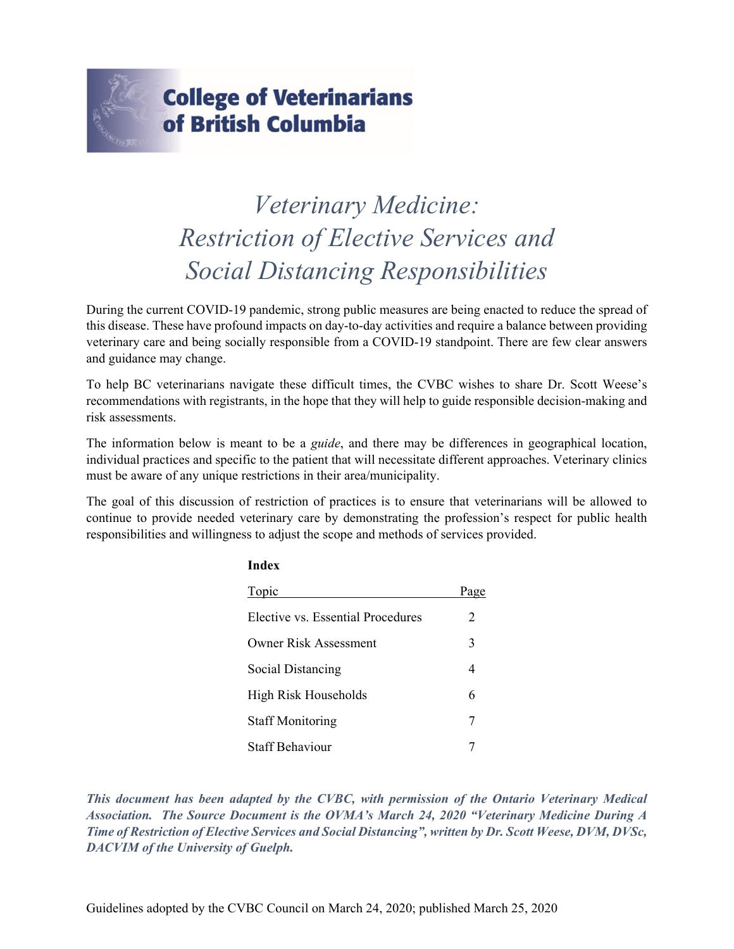

# **College of Veterinarians** of British Columbia

# *Veterinary Medicine: Restriction of Elective Services and Social Distancing Responsibilities*

During the current COVID-19 pandemic, strong public measures are being enacted to reduce the spread of this disease. These have profound impacts on day-to-day activities and require a balance between providing veterinary care and being socially responsible from a COVID-19 standpoint. There are few clear answers and guidance may change.

To help BC veterinarians navigate these difficult times, the CVBC wishes to share Dr. Scott Weese's recommendations with registrants, in the hope that they will help to guide responsible decision-making and risk assessments.

The information below is meant to be a *guide*, and there may be differences in geographical location, individual practices and specific to the patient that will necessitate different approaches. Veterinary clinics must be aware of any unique restrictions in their area/municipality.

The goal of this discussion of restriction of practices is to ensure that veterinarians will be allowed to continue to provide needed veterinary care by demonstrating the profession's respect for public health responsibilities and willingness to adjust the scope and methods of services provided.

**Index**

| шисл                              |      |
|-----------------------------------|------|
| Topic                             | Page |
| Elective vs. Essential Procedures | 2    |
| <b>Owner Risk Assessment</b>      | 3    |
| Social Distancing                 | 4    |
| High Risk Households              | 6    |
| <b>Staff Monitoring</b>           | 7    |
| <b>Staff Behaviour</b>            |      |

*This document has been adapted by the CVBC, with permission of the Ontario Veterinary Medical Association. The Source Document is the OVMA's March 24, 2020 "Veterinary Medicine During A Time of Restriction of Elective Services and Social Distancing", written by Dr. Scott Weese, DVM, DVSc, DACVIM of the University of Guelph.*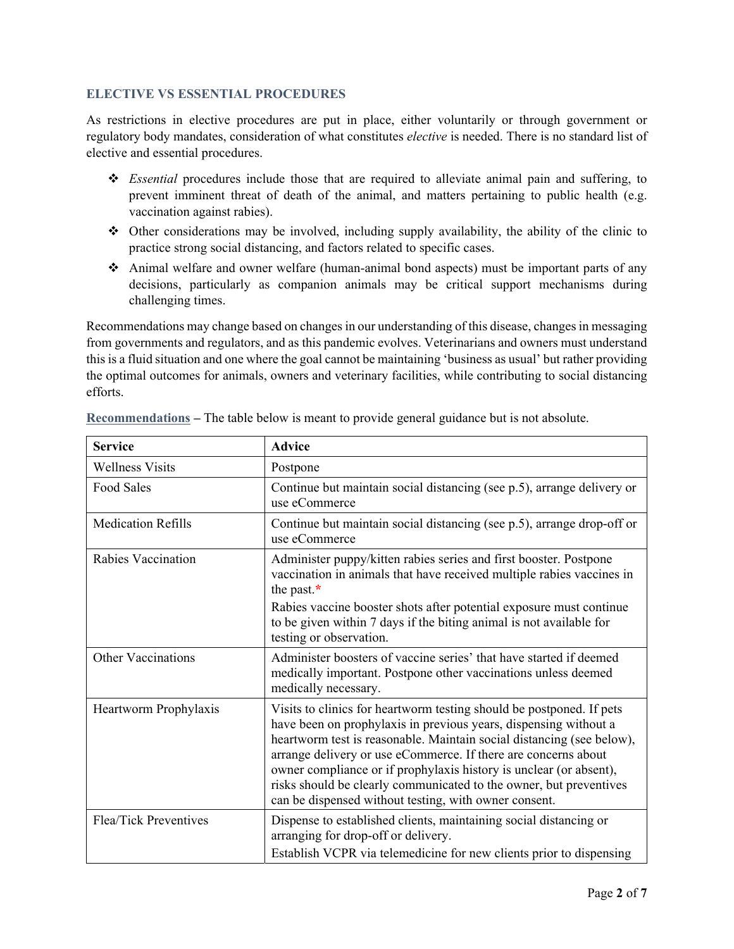# **ELECTIVE VS ESSENTIAL PROCEDURES**

As restrictions in elective procedures are put in place, either voluntarily or through government or regulatory body mandates, consideration of what constitutes *elective* is needed. There is no standard list of elective and essential procedures.

- *Essential* procedures include those that are required to alleviate animal pain and suffering, to prevent imminent threat of death of the animal, and matters pertaining to public health (e.g. vaccination against rabies).
- Other considerations may be involved, including supply availability, the ability of the clinic to practice strong social distancing, and factors related to specific cases.
- Animal welfare and owner welfare (human-animal bond aspects) must be important parts of any decisions, particularly as companion animals may be critical support mechanisms during challenging times.

Recommendations may change based on changes in our understanding of this disease, changes in messaging from governments and regulators, and as this pandemic evolves. Veterinarians and owners must understand this is a fluid situation and one where the goal cannot be maintaining 'business as usual' but rather providing the optimal outcomes for animals, owners and veterinary facilities, while contributing to social distancing efforts.

| <b>Service</b>            | <b>Advice</b>                                                                                                                                                                                                                                                                                                                                                                                                                                                                            |
|---------------------------|------------------------------------------------------------------------------------------------------------------------------------------------------------------------------------------------------------------------------------------------------------------------------------------------------------------------------------------------------------------------------------------------------------------------------------------------------------------------------------------|
| <b>Wellness Visits</b>    | Postpone                                                                                                                                                                                                                                                                                                                                                                                                                                                                                 |
| Food Sales                | Continue but maintain social distancing (see p.5), arrange delivery or<br>use eCommerce                                                                                                                                                                                                                                                                                                                                                                                                  |
| <b>Medication Refills</b> | Continue but maintain social distancing (see p.5), arrange drop-off or<br>use eCommerce                                                                                                                                                                                                                                                                                                                                                                                                  |
| Rabies Vaccination        | Administer puppy/kitten rabies series and first booster. Postpone<br>vaccination in animals that have received multiple rabies vaccines in<br>the past. $*$<br>Rabies vaccine booster shots after potential exposure must continue                                                                                                                                                                                                                                                       |
|                           | to be given within 7 days if the biting animal is not available for<br>testing or observation.                                                                                                                                                                                                                                                                                                                                                                                           |
| Other Vaccinations        | Administer boosters of vaccine series' that have started if deemed<br>medically important. Postpone other vaccinations unless deemed<br>medically necessary.                                                                                                                                                                                                                                                                                                                             |
| Heartworm Prophylaxis     | Visits to clinics for heartworm testing should be postponed. If pets<br>have been on prophylaxis in previous years, dispensing without a<br>heartworm test is reasonable. Maintain social distancing (see below),<br>arrange delivery or use eCommerce. If there are concerns about<br>owner compliance or if prophylaxis history is unclear (or absent),<br>risks should be clearly communicated to the owner, but preventives<br>can be dispensed without testing, with owner consent. |
| Flea/Tick Preventives     | Dispense to established clients, maintaining social distancing or<br>arranging for drop-off or delivery.<br>Establish VCPR via telemedicine for new clients prior to dispensing                                                                                                                                                                                                                                                                                                          |

**Recommendations –** The table below is meant to provide general guidance but is not absolute.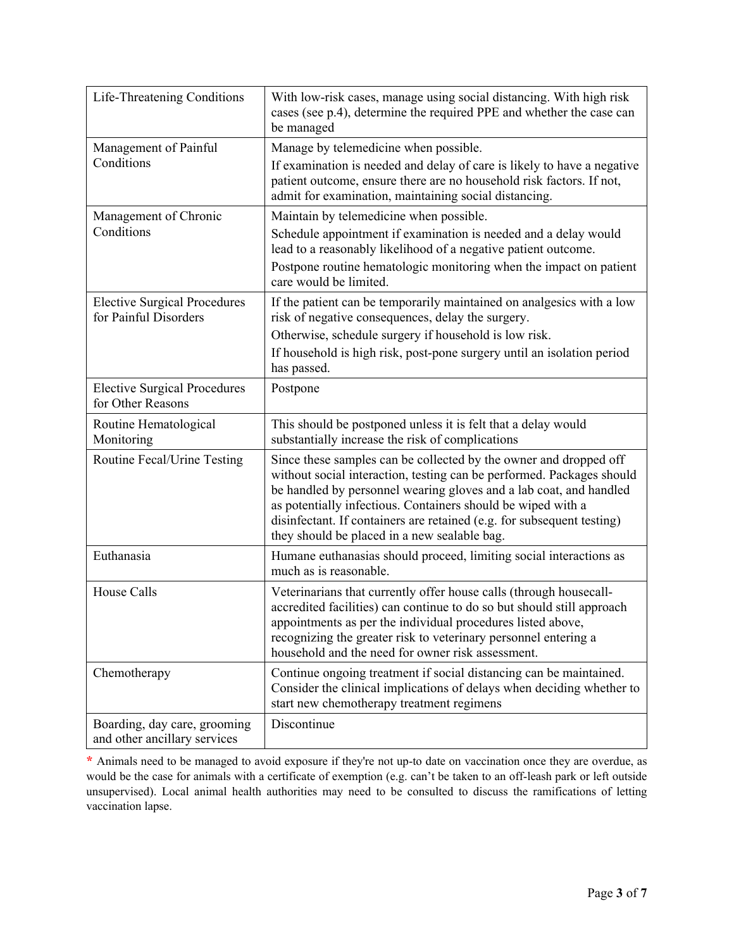| Life-Threatening Conditions                                  | With low-risk cases, manage using social distancing. With high risk<br>cases (see p.4), determine the required PPE and whether the case can<br>be managed                                                                                                                                                                                                                                                  |
|--------------------------------------------------------------|------------------------------------------------------------------------------------------------------------------------------------------------------------------------------------------------------------------------------------------------------------------------------------------------------------------------------------------------------------------------------------------------------------|
| Management of Painful<br>Conditions                          | Manage by telemedicine when possible.<br>If examination is needed and delay of care is likely to have a negative<br>patient outcome, ensure there are no household risk factors. If not,<br>admit for examination, maintaining social distancing.                                                                                                                                                          |
| Management of Chronic<br>Conditions                          | Maintain by telemedicine when possible.<br>Schedule appointment if examination is needed and a delay would<br>lead to a reasonably likelihood of a negative patient outcome.<br>Postpone routine hematologic monitoring when the impact on patient<br>care would be limited.                                                                                                                               |
| <b>Elective Surgical Procedures</b><br>for Painful Disorders | If the patient can be temporarily maintained on analgesics with a low<br>risk of negative consequences, delay the surgery.<br>Otherwise, schedule surgery if household is low risk.<br>If household is high risk, post-pone surgery until an isolation period<br>has passed.                                                                                                                               |
| <b>Elective Surgical Procedures</b><br>for Other Reasons     | Postpone                                                                                                                                                                                                                                                                                                                                                                                                   |
| Routine Hematological<br>Monitoring                          | This should be postponed unless it is felt that a delay would<br>substantially increase the risk of complications                                                                                                                                                                                                                                                                                          |
| Routine Fecal/Urine Testing                                  | Since these samples can be collected by the owner and dropped off<br>without social interaction, testing can be performed. Packages should<br>be handled by personnel wearing gloves and a lab coat, and handled<br>as potentially infectious. Containers should be wiped with a<br>disinfectant. If containers are retained (e.g. for subsequent testing)<br>they should be placed in a new sealable bag. |
| Euthanasia                                                   | Humane euthanasias should proceed, limiting social interactions as<br>much as is reasonable.                                                                                                                                                                                                                                                                                                               |
| House Calls                                                  | Veterinarians that currently offer house calls (through housecall-<br>accredited facilities) can continue to do so but should still approach<br>appointments as per the individual procedures listed above,<br>recognizing the greater risk to veterinary personnel entering a<br>household and the need for owner risk assessment.                                                                        |
| Chemotherapy                                                 | Continue ongoing treatment if social distancing can be maintained.<br>Consider the clinical implications of delays when deciding whether to<br>start new chemotherapy treatment regimens                                                                                                                                                                                                                   |
| Boarding, day care, grooming<br>and other ancillary services | Discontinue                                                                                                                                                                                                                                                                                                                                                                                                |

**\*** Animals need to be managed to avoid exposure if they're not up-to date on vaccination once they are overdue, as would be the case for animals with a certificate of exemption (e.g. can't be taken to an off-leash park or left outside unsupervised). Local animal health authorities may need to be consulted to discuss the ramifications of letting vaccination lapse.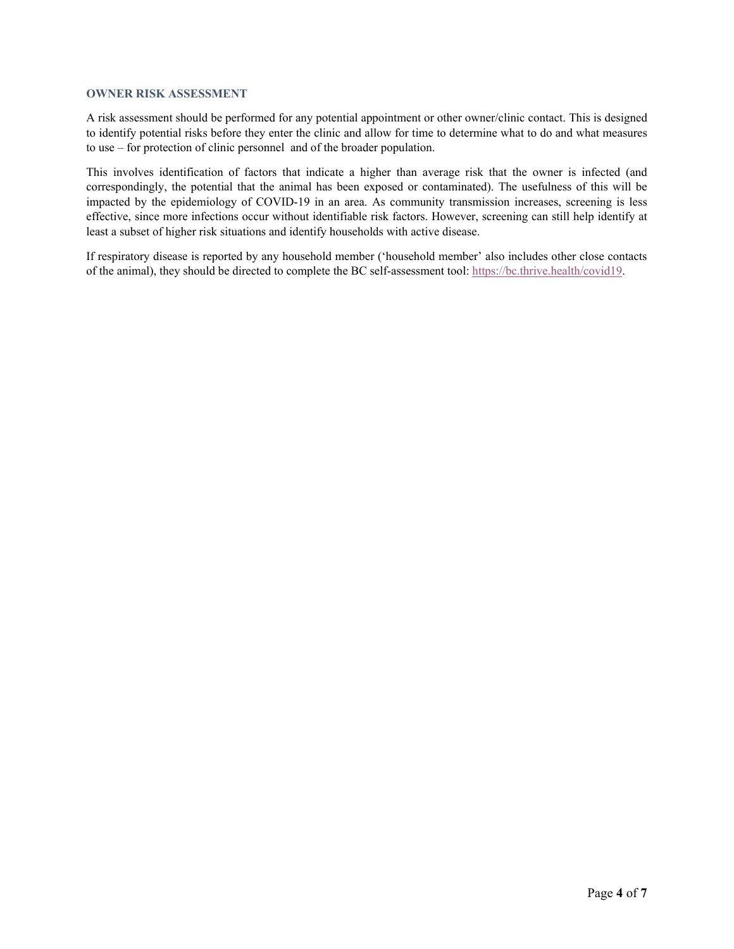#### **OWNER RISK ASSESSMENT**

A risk assessment should be performed for any potential appointment or other owner/clinic contact. This is designed to identify potential risks before they enter the clinic and allow for time to determine what to do and what measures to use – for protection of clinic personnel and of the broader population.

This involves identification of factors that indicate a higher than average risk that the owner is infected (and correspondingly, the potential that the animal has been exposed or contaminated). The usefulness of this will be impacted by the epidemiology of COVID-19 in an area. As community transmission increases, screening is less effective, since more infections occur without identifiable risk factors. However, screening can still help identify at least a subset of higher risk situations and identify households with active disease.

If respiratory disease is reported by any household member ('household member' also includes other close contacts of the animal), they should be directed to complete the BC self-assessment tool: https://bc.thrive.health/covid19.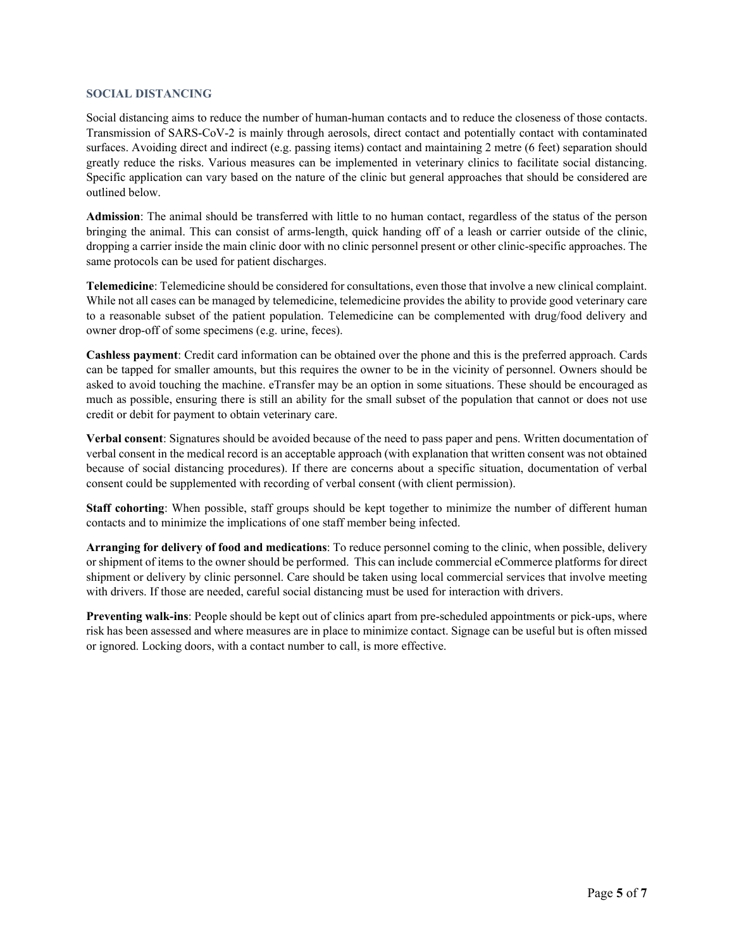#### **SOCIAL DISTANCING**

Social distancing aims to reduce the number of human-human contacts and to reduce the closeness of those contacts. Transmission of SARS-CoV-2 is mainly through aerosols, direct contact and potentially contact with contaminated surfaces. Avoiding direct and indirect (e.g. passing items) contact and maintaining 2 metre (6 feet) separation should greatly reduce the risks. Various measures can be implemented in veterinary clinics to facilitate social distancing. Specific application can vary based on the nature of the clinic but general approaches that should be considered are outlined below.

**Admission**: The animal should be transferred with little to no human contact, regardless of the status of the person bringing the animal. This can consist of arms-length, quick handing off of a leash or carrier outside of the clinic, dropping a carrier inside the main clinic door with no clinic personnel present or other clinic-specific approaches. The same protocols can be used for patient discharges.

**Telemedicine**: Telemedicine should be considered for consultations, even those that involve a new clinical complaint. While not all cases can be managed by telemedicine, telemedicine provides the ability to provide good veterinary care to a reasonable subset of the patient population. Telemedicine can be complemented with drug/food delivery and owner drop-off of some specimens (e.g. urine, feces).

**Cashless payment**: Credit card information can be obtained over the phone and this is the preferred approach. Cards can be tapped for smaller amounts, but this requires the owner to be in the vicinity of personnel. Owners should be asked to avoid touching the machine. eTransfer may be an option in some situations. These should be encouraged as much as possible, ensuring there is still an ability for the small subset of the population that cannot or does not use credit or debit for payment to obtain veterinary care.

**Verbal consent**: Signatures should be avoided because of the need to pass paper and pens. Written documentation of verbal consent in the medical record is an acceptable approach (with explanation that written consent was not obtained because of social distancing procedures). If there are concerns about a specific situation, documentation of verbal consent could be supplemented with recording of verbal consent (with client permission).

**Staff cohorting**: When possible, staff groups should be kept together to minimize the number of different human contacts and to minimize the implications of one staff member being infected.

**Arranging for delivery of food and medications**: To reduce personnel coming to the clinic, when possible, delivery or shipment of items to the owner should be performed. This can include commercial eCommerce platforms for direct shipment or delivery by clinic personnel. Care should be taken using local commercial services that involve meeting with drivers. If those are needed, careful social distancing must be used for interaction with drivers.

**Preventing walk-ins**: People should be kept out of clinics apart from pre-scheduled appointments or pick-ups, where risk has been assessed and where measures are in place to minimize contact. Signage can be useful but is often missed or ignored. Locking doors, with a contact number to call, is more effective.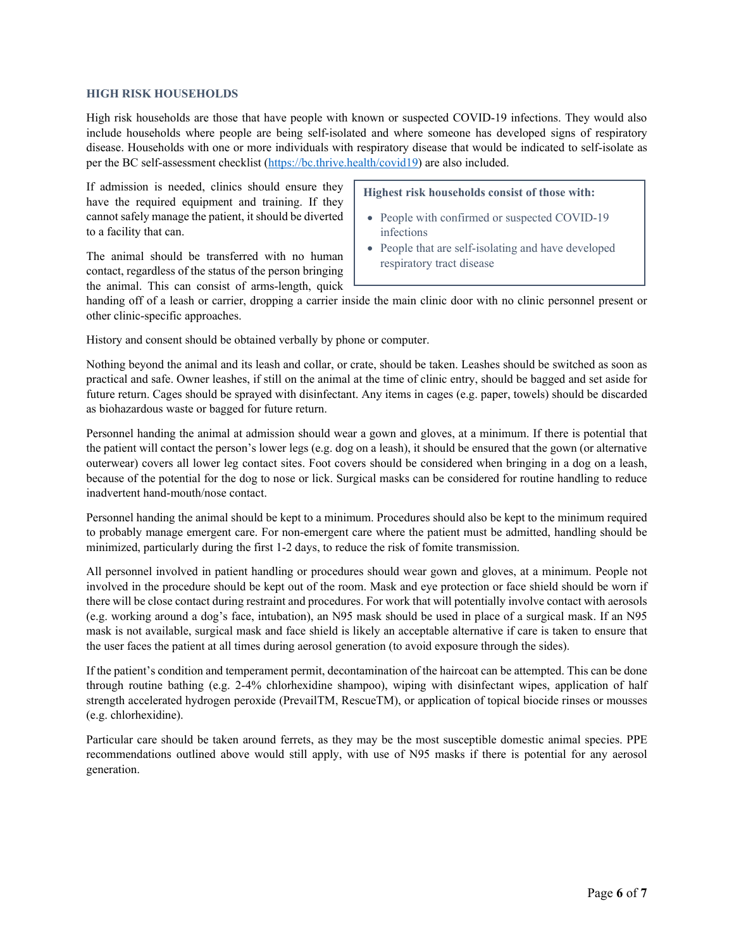#### **HIGH RISK HOUSEHOLDS**

High risk households are those that have people with known or suspected COVID-19 infections. They would also include households where people are being self-isolated and where someone has developed signs of respiratory disease. Households with one or more individuals with respiratory disease that would be indicated to self-isolate as per the BC self-assessment checklist (https://bc.thrive.health/covid19) are also included.

If admission is needed, clinics should ensure they have the required equipment and training. If they cannot safely manage the patient, it should be diverted to a facility that can.

The animal should be transferred with no human contact, regardless of the status of the person bringing the animal. This can consist of arms-length, quick

#### **Highest risk households consist of those with:**

- People with confirmed or suspected COVID-19 infections
- People that are self-isolating and have developed respiratory tract disease

handing off of a leash or carrier, dropping a carrier inside the main clinic door with no clinic personnel present or other clinic-specific approaches.

History and consent should be obtained verbally by phone or computer.

Nothing beyond the animal and its leash and collar, or crate, should be taken. Leashes should be switched as soon as practical and safe. Owner leashes, if still on the animal at the time of clinic entry, should be bagged and set aside for future return. Cages should be sprayed with disinfectant. Any items in cages (e.g. paper, towels) should be discarded as biohazardous waste or bagged for future return.

Personnel handing the animal at admission should wear a gown and gloves, at a minimum. If there is potential that the patient will contact the person's lower legs (e.g. dog on a leash), it should be ensured that the gown (or alternative outerwear) covers all lower leg contact sites. Foot covers should be considered when bringing in a dog on a leash, because of the potential for the dog to nose or lick. Surgical masks can be considered for routine handling to reduce inadvertent hand-mouth/nose contact.

Personnel handing the animal should be kept to a minimum. Procedures should also be kept to the minimum required to probably manage emergent care. For non-emergent care where the patient must be admitted, handling should be minimized, particularly during the first 1-2 days, to reduce the risk of fomite transmission.

All personnel involved in patient handling or procedures should wear gown and gloves, at a minimum. People not involved in the procedure should be kept out of the room. Mask and eye protection or face shield should be worn if there will be close contact during restraint and procedures. For work that will potentially involve contact with aerosols (e.g. working around a dog's face, intubation), an N95 mask should be used in place of a surgical mask. If an N95 mask is not available, surgical mask and face shield is likely an acceptable alternative if care is taken to ensure that the user faces the patient at all times during aerosol generation (to avoid exposure through the sides).

If the patient's condition and temperament permit, decontamination of the haircoat can be attempted. This can be done through routine bathing (e.g. 2-4% chlorhexidine shampoo), wiping with disinfectant wipes, application of half strength accelerated hydrogen peroxide (PrevailTM, RescueTM), or application of topical biocide rinses or mousses (e.g. chlorhexidine).

Particular care should be taken around ferrets, as they may be the most susceptible domestic animal species. PPE recommendations outlined above would still apply, with use of N95 masks if there is potential for any aerosol generation.